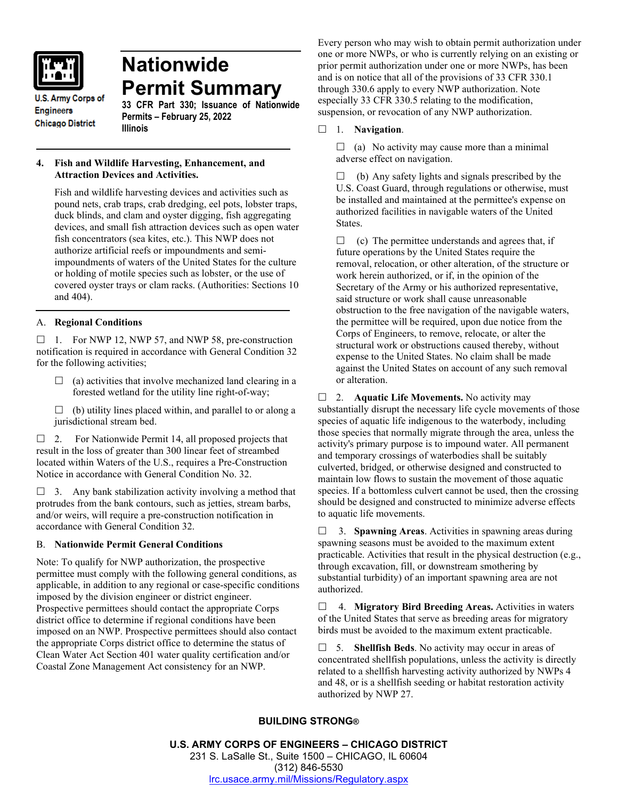

# **Nationwide Permit Summary**

**U.S. Army Corps of Engineers Chicago District** 

**33 CFR Part 330; Issuance of Nationwide Permits – February 25, 2022 Illinois**

# **4. Fish and Wildlife Harvesting, Enhancement, and Attraction Devices and Activities.**

Fish and wildlife harvesting devices and activities such as pound nets, crab traps, crab dredging, eel pots, lobster traps, duck blinds, and clam and oyster digging, fish aggregating devices, and small fish attraction devices such as open water fish concentrators (sea kites, etc.). This NWP does not authorize artificial reefs or impoundments and semiimpoundments of waters of the United States for the culture or holding of motile species such as lobster, or the use of covered oyster trays or clam racks. (Authorities: Sections 10 and 404).

# A. **Regional Conditions**

 $\Box$  1. For NWP 12, NWP 57, and NWP 58, pre-construction notification is required in accordance with General Condition 32 for the following activities;

- $\Box$  (a) activities that involve mechanized land clearing in a forested wetland for the utility line right-of-way;
- $\Box$  (b) utility lines placed within, and parallel to or along a jurisdictional stream bed.

 $\Box$  2. For Nationwide Permit 14, all proposed projects that result in the loss of greater than 300 linear feet of streambed located within Waters of the U.S., requires a Pre-Construction Notice in accordance with General Condition No. 32.

 $\Box$  3. Any bank stabilization activity involving a method that protrudes from the bank contours, such as jetties, stream barbs, and/or weirs, will require a pre-construction notification in accordance with General Condition 32.

# B. **Nationwide Permit General Conditions**

Note: To qualify for NWP authorization, the prospective permittee must comply with the following general conditions, as applicable, in addition to any regional or case-specific conditions imposed by the division engineer or district engineer. Prospective permittees should contact the appropriate Corps district office to determine if regional conditions have been imposed on an NWP. Prospective permittees should also contact the appropriate Corps district office to determine the status of Clean Water Act Section 401 water quality certification and/or Coastal Zone Management Act consistency for an NWP.

Every person who may wish to obtain permit authorization under one or more NWPs, or who is currently relying on an existing or prior permit authorization under one or more NWPs, has been and is on notice that all of the provisions of 33 CFR 330.1 through 330.6 apply to every NWP authorization. Note especially 33 CFR 330.5 relating to the modification, suspension, or revocation of any NWP authorization.

### 1. **Navigation**.

 $\Box$  (a) No activity may cause more than a minimal adverse effect on navigation.

 $\Box$  (b) Any safety lights and signals prescribed by the U.S. Coast Guard, through regulations or otherwise, must be installed and maintained at the permittee's expense on authorized facilities in navigable waters of the United States.

 $\Box$  (c) The permittee understands and agrees that, if future operations by the United States require the removal, relocation, or other alteration, of the structure or work herein authorized, or if, in the opinion of the Secretary of the Army or his authorized representative, said structure or work shall cause unreasonable obstruction to the free navigation of the navigable waters, the permittee will be required, upon due notice from the Corps of Engineers, to remove, relocate, or alter the structural work or obstructions caused thereby, without expense to the United States. No claim shall be made against the United States on account of any such removal or alteration.

□ 2. **Aquatic Life Movements.** No activity may substantially disrupt the necessary life cycle movements of those species of aquatic life indigenous to the waterbody, including those species that normally migrate through the area, unless the activity's primary purpose is to impound water. All permanent and temporary crossings of waterbodies shall be suitably culverted, bridged, or otherwise designed and constructed to maintain low flows to sustain the movement of those aquatic species. If a bottomless culvert cannot be used, then the crossing should be designed and constructed to minimize adverse effects to aquatic life movements.

 3. **Spawning Areas**. Activities in spawning areas during spawning seasons must be avoided to the maximum extent practicable. Activities that result in the physical destruction (e.g., through excavation, fill, or downstream smothering by substantial turbidity) of an important spawning area are not authorized.

 4. **Migratory Bird Breeding Areas.** Activities in waters of the United States that serve as breeding areas for migratory birds must be avoided to the maximum extent practicable.

 5. **Shellfish Beds**. No activity may occur in areas of concentrated shellfish populations, unless the activity is directly related to a shellfish harvesting activity authorized by NWPs 4 and 48, or is a shellfish seeding or habitat restoration activity authorized by NWP 27.

# **BUILDING STRONG®**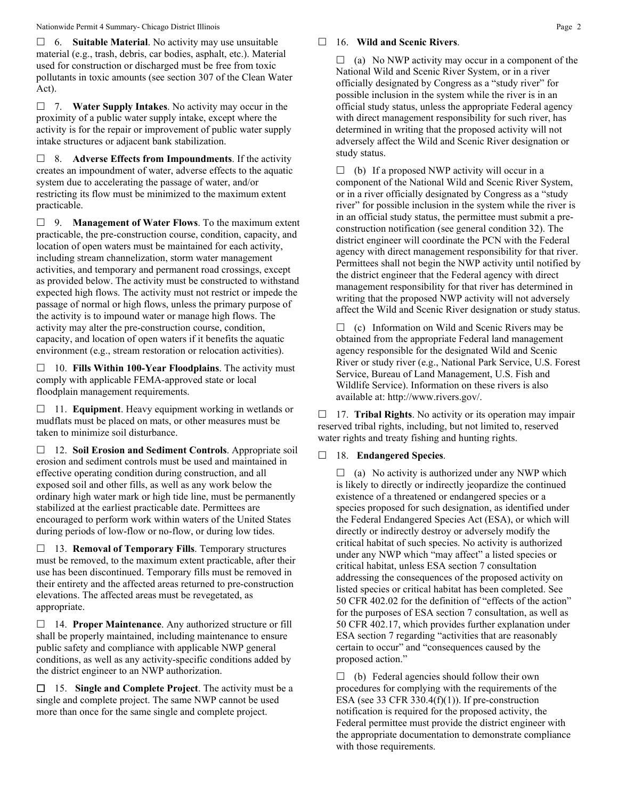6. **Suitable Material**. No activity may use unsuitable material (e.g., trash, debris, car bodies, asphalt, etc.). Material used for construction or discharged must be free from toxic pollutants in toxic amounts (see section 307 of the Clean Water Act).

 7. **Water Supply Intakes**. No activity may occur in the proximity of a public water supply intake, except where the activity is for the repair or improvement of public water supply intake structures or adjacent bank stabilization.

 8. **Adverse Effects from Impoundments**. If the activity creates an impoundment of water, adverse effects to the aquatic system due to accelerating the passage of water, and/or restricting its flow must be minimized to the maximum extent practicable.

 9. **Management of Water Flows**. To the maximum extent practicable, the pre-construction course, condition, capacity, and location of open waters must be maintained for each activity, including stream channelization, storm water management activities, and temporary and permanent road crossings, except as provided below. The activity must be constructed to withstand expected high flows. The activity must not restrict or impede the passage of normal or high flows, unless the primary purpose of the activity is to impound water or manage high flows. The activity may alter the pre-construction course, condition, capacity, and location of open waters if it benefits the aquatic environment (e.g., stream restoration or relocation activities).

 10. **Fills Within 100-Year Floodplains**. The activity must comply with applicable FEMA-approved state or local floodplain management requirements.

□ 11. **Equipment**. Heavy equipment working in wetlands or mudflats must be placed on mats, or other measures must be taken to minimize soil disturbance.

 12. **Soil Erosion and Sediment Controls**. Appropriate soil erosion and sediment controls must be used and maintained in effective operating condition during construction, and all exposed soil and other fills, as well as any work below the ordinary high water mark or high tide line, must be permanently stabilized at the earliest practicable date. Permittees are encouraged to perform work within waters of the United States during periods of low-flow or no-flow, or during low tides.

 13. **Removal of Temporary Fills**. Temporary structures must be removed, to the maximum extent practicable, after their use has been discontinued. Temporary fills must be removed in their entirety and the affected areas returned to pre-construction elevations. The affected areas must be revegetated, as appropriate.

 14. **Proper Maintenance**. Any authorized structure or fill shall be properly maintained, including maintenance to ensure public safety and compliance with applicable NWP general conditions, as well as any activity-specific conditions added by the district engineer to an NWP authorization.

 15. **Single and Complete Project**. The activity must be a single and complete project. The same NWP cannot be used more than once for the same single and complete project.

## 16. **Wild and Scenic Rivers**.

 $\Box$  (a) No NWP activity may occur in a component of the National Wild and Scenic River System, or in a river officially designated by Congress as a "study river" for possible inclusion in the system while the river is in an official study status, unless the appropriate Federal agency with direct management responsibility for such river, has determined in writing that the proposed activity will not adversely affect the Wild and Scenic River designation or study status.

 $\Box$  (b) If a proposed NWP activity will occur in a component of the National Wild and Scenic River System, or in a river officially designated by Congress as a "study river" for possible inclusion in the system while the river is in an official study status, the permittee must submit a preconstruction notification (see general condition 32). The district engineer will coordinate the PCN with the Federal agency with direct management responsibility for that river. Permittees shall not begin the NWP activity until notified by the district engineer that the Federal agency with direct management responsibility for that river has determined in writing that the proposed NWP activity will not adversely affect the Wild and Scenic River designation or study status.

 $\Box$  (c) Information on Wild and Scenic Rivers may be obtained from the appropriate Federal land management agency responsible for the designated Wild and Scenic River or study river (e.g., National Park Service, U.S. Forest Service, Bureau of Land Management, U.S. Fish and Wildlife Service). Information on these rivers is also available at: http://www.rivers.gov/.

□ 17. **Tribal Rights**. No activity or its operation may impair reserved tribal rights, including, but not limited to, reserved water rights and treaty fishing and hunting rights.

# 18. **Endangered Species**.

 $\Box$  (a) No activity is authorized under any NWP which is likely to directly or indirectly jeopardize the continued existence of a threatened or endangered species or a species proposed for such designation, as identified under the Federal Endangered Species Act (ESA), or which will directly or indirectly destroy or adversely modify the critical habitat of such species. No activity is authorized under any NWP which "may affect" a listed species or critical habitat, unless ESA section 7 consultation addressing the consequences of the proposed activity on listed species or critical habitat has been completed. See 50 CFR 402.02 for the definition of "effects of the action" for the purposes of ESA section 7 consultation, as well as 50 CFR 402.17, which provides further explanation under ESA section 7 regarding "activities that are reasonably certain to occur" and "consequences caused by the proposed action."

 $\Box$  (b) Federal agencies should follow their own procedures for complying with the requirements of the ESA (see 33 CFR 330.4 $(f)(1)$ ). If pre-construction notification is required for the proposed activity, the Federal permittee must provide the district engineer with the appropriate documentation to demonstrate compliance with those requirements.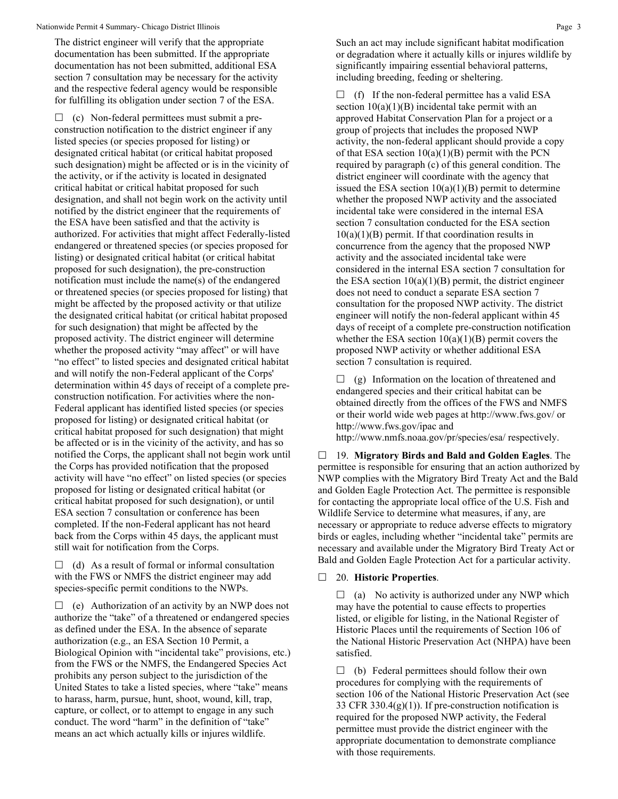The district engineer will verify that the appropriate documentation has been submitted. If the appropriate documentation has not been submitted, additional ESA section 7 consultation may be necessary for the activity and the respective federal agency would be responsible for fulfilling its obligation under section 7 of the ESA.

 $\Box$  (c) Non-federal permittees must submit a preconstruction notification to the district engineer if any listed species (or species proposed for listing) or designated critical habitat (or critical habitat proposed such designation) might be affected or is in the vicinity of the activity, or if the activity is located in designated critical habitat or critical habitat proposed for such designation, and shall not begin work on the activity until notified by the district engineer that the requirements of the ESA have been satisfied and that the activity is authorized. For activities that might affect Federally-listed endangered or threatened species (or species proposed for listing) or designated critical habitat (or critical habitat proposed for such designation), the pre-construction notification must include the name(s) of the endangered or threatened species (or species proposed for listing) that might be affected by the proposed activity or that utilize the designated critical habitat (or critical habitat proposed for such designation) that might be affected by the proposed activity. The district engineer will determine whether the proposed activity "may affect" or will have "no effect" to listed species and designated critical habitat and will notify the non-Federal applicant of the Corps' determination within 45 days of receipt of a complete preconstruction notification. For activities where the non-Federal applicant has identified listed species (or species proposed for listing) or designated critical habitat (or critical habitat proposed for such designation) that might be affected or is in the vicinity of the activity, and has so notified the Corps, the applicant shall not begin work until the Corps has provided notification that the proposed activity will have "no effect" on listed species (or species proposed for listing or designated critical habitat (or critical habitat proposed for such designation), or until ESA section 7 consultation or conference has been completed. If the non-Federal applicant has not heard back from the Corps within 45 days, the applicant must still wait for notification from the Corps.

 $\Box$  (d) As a result of formal or informal consultation with the FWS or NMFS the district engineer may add species-specific permit conditions to the NWPs.

 $\Box$  (e) Authorization of an activity by an NWP does not authorize the "take" of a threatened or endangered species as defined under the ESA. In the absence of separate authorization (e.g., an ESA Section 10 Permit, a Biological Opinion with "incidental take" provisions, etc.) from the FWS or the NMFS, the Endangered Species Act prohibits any person subject to the jurisdiction of the United States to take a listed species, where "take" means to harass, harm, pursue, hunt, shoot, wound, kill, trap, capture, or collect, or to attempt to engage in any such conduct. The word "harm" in the definition of "take" means an act which actually kills or injures wildlife.

Such an act may include significant habitat modification or degradation where it actually kills or injures wildlife by significantly impairing essential behavioral patterns, including breeding, feeding or sheltering.

 $\Box$  (f) If the non-federal permittee has a valid ESA section  $10(a)(1)(B)$  incidental take permit with an approved Habitat Conservation Plan for a project or a group of projects that includes the proposed NWP activity, the non-federal applicant should provide a copy of that ESA section  $10(a)(1)(B)$  permit with the PCN required by paragraph (c) of this general condition. The district engineer will coordinate with the agency that issued the ESA section  $10(a)(1)(B)$  permit to determine whether the proposed NWP activity and the associated incidental take were considered in the internal ESA section 7 consultation conducted for the ESA section  $10(a)(1)(B)$  permit. If that coordination results in concurrence from the agency that the proposed NWP activity and the associated incidental take were considered in the internal ESA section 7 consultation for the ESA section  $10(a)(1)(B)$  permit, the district engineer does not need to conduct a separate ESA section 7 consultation for the proposed NWP activity. The district engineer will notify the non-federal applicant within 45 days of receipt of a complete pre-construction notification whether the ESA section  $10(a)(1)(B)$  permit covers the proposed NWP activity or whether additional ESA section 7 consultation is required.

 $\Box$  (g) Information on the location of threatened and endangered species and their critical habitat can be obtained directly from the offices of the FWS and NMFS or their world wide web pages at http://www.fws.gov/ or http://www.fws.gov/ipac and

http://www.nmfs.noaa.gov/pr/species/esa/ respectively.

 19. **Migratory Birds and Bald and Golden Eagles**. The permittee is responsible for ensuring that an action authorized by NWP complies with the Migratory Bird Treaty Act and the Bald and Golden Eagle Protection Act. The permittee is responsible for contacting the appropriate local office of the U.S. Fish and Wildlife Service to determine what measures, if any, are necessary or appropriate to reduce adverse effects to migratory birds or eagles, including whether "incidental take" permits are necessary and available under the Migratory Bird Treaty Act or Bald and Golden Eagle Protection Act for a particular activity.

#### 20. **Historic Properties**.

 $\Box$  (a) No activity is authorized under any NWP which may have the potential to cause effects to properties listed, or eligible for listing, in the National Register of Historic Places until the requirements of Section 106 of the National Historic Preservation Act (NHPA) have been satisfied.

 $\Box$  (b) Federal permittees should follow their own procedures for complying with the requirements of section 106 of the National Historic Preservation Act (see 33 CFR 330.4 $(g)(1)$ ). If pre-construction notification is required for the proposed NWP activity, the Federal permittee must provide the district engineer with the appropriate documentation to demonstrate compliance with those requirements.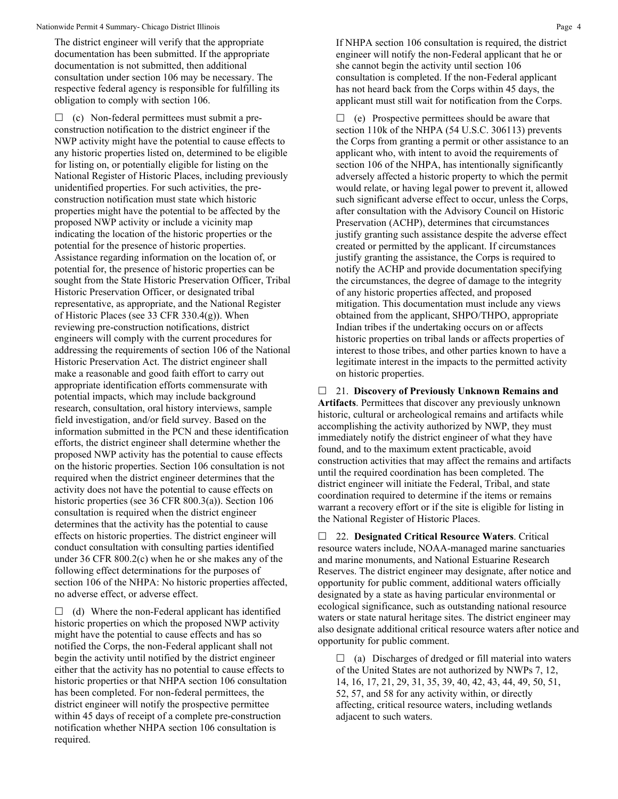The district engineer will verify that the appropriate documentation has been submitted. If the appropriate documentation is not submitted, then additional consultation under section 106 may be necessary. The respective federal agency is responsible for fulfilling its obligation to comply with section 106.

 $\Box$  (c) Non-federal permittees must submit a preconstruction notification to the district engineer if the NWP activity might have the potential to cause effects to any historic properties listed on, determined to be eligible for listing on, or potentially eligible for listing on the National Register of Historic Places, including previously unidentified properties. For such activities, the preconstruction notification must state which historic properties might have the potential to be affected by the proposed NWP activity or include a vicinity map indicating the location of the historic properties or the potential for the presence of historic properties. Assistance regarding information on the location of, or potential for, the presence of historic properties can be sought from the State Historic Preservation Officer, Tribal Historic Preservation Officer, or designated tribal representative, as appropriate, and the National Register of Historic Places (see 33 CFR 330.4(g)). When reviewing pre-construction notifications, district engineers will comply with the current procedures for addressing the requirements of section 106 of the National Historic Preservation Act. The district engineer shall make a reasonable and good faith effort to carry out appropriate identification efforts commensurate with potential impacts, which may include background research, consultation, oral history interviews, sample field investigation, and/or field survey. Based on the information submitted in the PCN and these identification efforts, the district engineer shall determine whether the proposed NWP activity has the potential to cause effects on the historic properties. Section 106 consultation is not required when the district engineer determines that the activity does not have the potential to cause effects on historic properties (see 36 CFR 800.3(a)). Section 106 consultation is required when the district engineer determines that the activity has the potential to cause effects on historic properties. The district engineer will conduct consultation with consulting parties identified under 36 CFR 800.2(c) when he or she makes any of the following effect determinations for the purposes of section 106 of the NHPA: No historic properties affected, no adverse effect, or adverse effect.

 $\Box$  (d) Where the non-Federal applicant has identified historic properties on which the proposed NWP activity might have the potential to cause effects and has so notified the Corps, the non-Federal applicant shall not begin the activity until notified by the district engineer either that the activity has no potential to cause effects to historic properties or that NHPA section 106 consultation has been completed. For non-federal permittees, the district engineer will notify the prospective permittee within 45 days of receipt of a complete pre-construction notification whether NHPA section 106 consultation is required.

If NHPA section 106 consultation is required, the district engineer will notify the non-Federal applicant that he or she cannot begin the activity until section 106 consultation is completed. If the non-Federal applicant has not heard back from the Corps within 45 days, the applicant must still wait for notification from the Corps.

 $\Box$  (e) Prospective permittees should be aware that section 110k of the NHPA (54 U.S.C. 306113) prevents the Corps from granting a permit or other assistance to an applicant who, with intent to avoid the requirements of section 106 of the NHPA, has intentionally significantly adversely affected a historic property to which the permit would relate, or having legal power to prevent it, allowed such significant adverse effect to occur, unless the Corps, after consultation with the Advisory Council on Historic Preservation (ACHP), determines that circumstances justify granting such assistance despite the adverse effect created or permitted by the applicant. If circumstances justify granting the assistance, the Corps is required to notify the ACHP and provide documentation specifying the circumstances, the degree of damage to the integrity of any historic properties affected, and proposed mitigation. This documentation must include any views obtained from the applicant, SHPO/THPO, appropriate Indian tribes if the undertaking occurs on or affects historic properties on tribal lands or affects properties of interest to those tribes, and other parties known to have a legitimate interest in the impacts to the permitted activity on historic properties.

 21. **Discovery of Previously Unknown Remains and Artifacts**. Permittees that discover any previously unknown historic, cultural or archeological remains and artifacts while accomplishing the activity authorized by NWP, they must immediately notify the district engineer of what they have found, and to the maximum extent practicable, avoid construction activities that may affect the remains and artifacts until the required coordination has been completed. The district engineer will initiate the Federal, Tribal, and state coordination required to determine if the items or remains warrant a recovery effort or if the site is eligible for listing in the National Register of Historic Places.

 22. **Designated Critical Resource Waters**. Critical resource waters include, NOAA-managed marine sanctuaries and marine monuments, and National Estuarine Research Reserves. The district engineer may designate, after notice and opportunity for public comment, additional waters officially designated by a state as having particular environmental or ecological significance, such as outstanding national resource waters or state natural heritage sites. The district engineer may also designate additional critical resource waters after notice and opportunity for public comment.

 $\Box$  (a) Discharges of dredged or fill material into waters of the United States are not authorized by NWPs 7, 12, 14, 16, 17, 21, 29, 31, 35, 39, 40, 42, 43, 44, 49, 50, 51, 52, 57, and 58 for any activity within, or directly affecting, critical resource waters, including wetlands adjacent to such waters.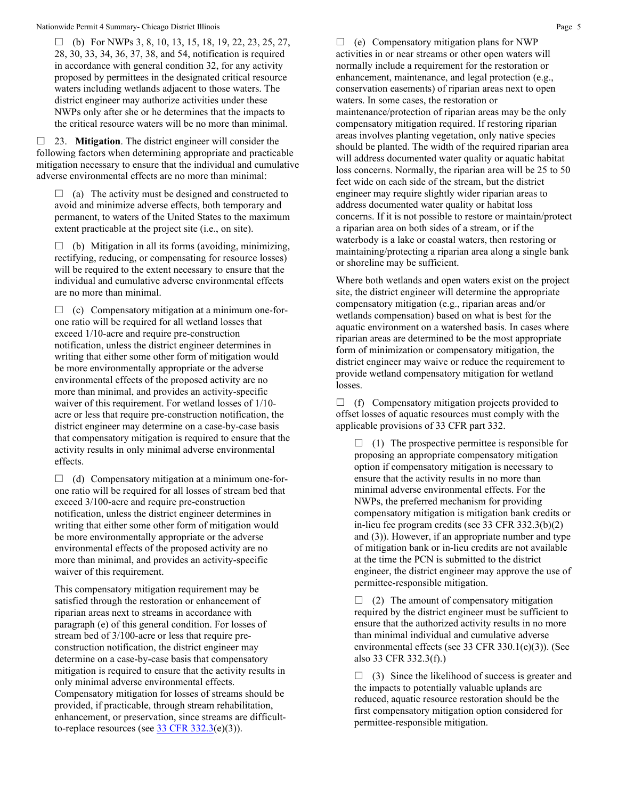$\Box$  (b) For NWPs 3, 8, 10, 13, 15, 18, 19, 22, 23, 25, 27, 28, 30, 33, 34, 36, 37, 38, and 54, notification is required in accordance with general condition 32, for any activity proposed by permittees in the designated critical resource waters including wetlands adjacent to those waters. The district engineer may authorize activities under these NWPs only after she or he determines that the impacts to the critical resource waters will be no more than minimal.

 23. **Mitigation**. The district engineer will consider the following factors when determining appropriate and practicable mitigation necessary to ensure that the individual and cumulative adverse environmental effects are no more than minimal:

 $\Box$  (a) The activity must be designed and constructed to avoid and minimize adverse effects, both temporary and permanent, to waters of the United States to the maximum extent practicable at the project site (i.e., on site).

 $\Box$  (b) Mitigation in all its forms (avoiding, minimizing, rectifying, reducing, or compensating for resource losses) will be required to the extent necessary to ensure that the individual and cumulative adverse environmental effects are no more than minimal.

 $\Box$  (c) Compensatory mitigation at a minimum one-forone ratio will be required for all wetland losses that exceed 1/10-acre and require pre-construction notification, unless the district engineer determines in writing that either some other form of mitigation would be more environmentally appropriate or the adverse environmental effects of the proposed activity are no more than minimal, and provides an activity-specific waiver of this requirement. For wetland losses of 1/10 acre or less that require pre-construction notification, the district engineer may determine on a case-by-case basis that compensatory mitigation is required to ensure that the activity results in only minimal adverse environmental effects.

 $\Box$  (d) Compensatory mitigation at a minimum one-forone ratio will be required for all losses of stream bed that exceed 3/100-acre and require pre-construction notification, unless the district engineer determines in writing that either some other form of mitigation would be more environmentally appropriate or the adverse environmental effects of the proposed activity are no more than minimal, and provides an activity-specific waiver of this requirement.

This compensatory mitigation requirement may be satisfied through the restoration or enhancement of riparian areas next to streams in accordance with paragraph (e) of this general condition. For losses of stream bed of 3/100-acre or less that require preconstruction notification, the district engineer may determine on a case-by-case basis that compensatory mitigation is required to ensure that the activity results in only minimal adverse environmental effects. Compensatory mitigation for losses of streams should be provided, if practicable, through stream rehabilitation, enhancement, or preservation, since streams are difficultto-replace resources (see  $33 \text{ CFR } 332.3(e)(3)$ ).

 $\Box$  (e) Compensatory mitigation plans for NWP activities in or near streams or other open waters will normally include a requirement for the restoration or enhancement, maintenance, and legal protection (e.g., conservation easements) of riparian areas next to open waters. In some cases, the restoration or maintenance/protection of riparian areas may be the only compensatory mitigation required. If restoring riparian areas involves planting vegetation, only native species should be planted. The width of the required riparian area will address documented water quality or aquatic habitat loss concerns. Normally, the riparian area will be 25 to 50 feet wide on each side of the stream, but the district engineer may require slightly wider riparian areas to address documented water quality or habitat loss concerns. If it is not possible to restore or maintain/protect a riparian area on both sides of a stream, or if the waterbody is a lake or coastal waters, then restoring or maintaining/protecting a riparian area along a single bank or shoreline may be sufficient.

Where both wetlands and open waters exist on the project site, the district engineer will determine the appropriate compensatory mitigation (e.g., riparian areas and/or wetlands compensation) based on what is best for the aquatic environment on a watershed basis. In cases where riparian areas are determined to be the most appropriate form of minimization or compensatory mitigation, the district engineer may waive or reduce the requirement to provide wetland compensatory mitigation for wetland losses.

 $\Box$  (f) Compensatory mitigation projects provided to offset losses of aquatic resources must comply with the applicable provisions of 33 CFR part 332.

 $\Box$  (1) The prospective permittee is responsible for proposing an appropriate compensatory mitigation option if compensatory mitigation is necessary to ensure that the activity results in no more than minimal adverse environmental effects. For the NWPs, the preferred mechanism for providing compensatory mitigation is mitigation bank credits or in-lieu fee program credits (see 33 CFR 332.3(b)(2) and (3)). However, if an appropriate number and type of mitigation bank or in-lieu credits are not available at the time the PCN is submitted to the district engineer, the district engineer may approve the use of permittee-responsible mitigation.

 $\Box$  (2) The amount of compensatory mitigation required by the district engineer must be sufficient to ensure that the authorized activity results in no more than minimal individual and cumulative adverse environmental effects (see 33 CFR 330.1(e)(3)). (See also 33 CFR 332.3(f).)

 $\Box$  (3) Since the likelihood of success is greater and the impacts to potentially valuable uplands are reduced, aquatic resource restoration should be the first compensatory mitigation option considered for permittee-responsible mitigation.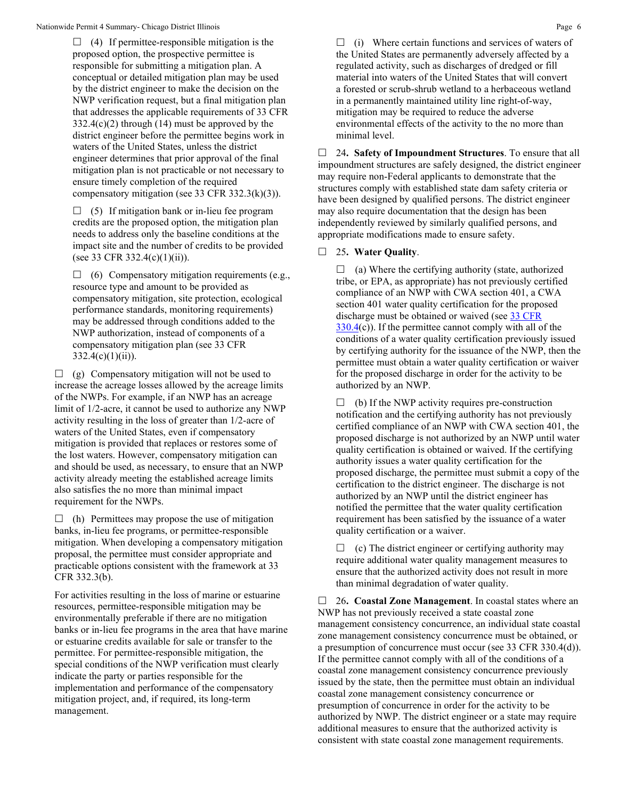$\Box$  (4) If permittee-responsible mitigation is the proposed option, the prospective permittee is responsible for submitting a mitigation plan. A conceptual or detailed mitigation plan may be used by the district engineer to make the decision on the NWP verification request, but a final mitigation plan that addresses the applicable requirements of 33 CFR  $332.4(c)(2)$  through (14) must be approved by the district engineer before the permittee begins work in waters of the United States, unless the district engineer determines that prior approval of the final mitigation plan is not practicable or not necessary to ensure timely completion of the required compensatory mitigation (see 33 CFR 332.3(k)(3)).

 $\Box$  (5) If mitigation bank or in-lieu fee program credits are the proposed option, the mitigation plan needs to address only the baseline conditions at the impact site and the number of credits to be provided (see 33 CFR 332.4(c)(1)(ii)).

 $\Box$  (6) Compensatory mitigation requirements (e.g., resource type and amount to be provided as compensatory mitigation, site protection, ecological performance standards, monitoring requirements) may be addressed through conditions added to the NWP authorization, instead of components of a compensatory mitigation plan (see 33 CFR  $332.4(c)(1)(ii)$ .

 $\Box$  (g) Compensatory mitigation will not be used to increase the acreage losses allowed by the acreage limits of the NWPs. For example, if an NWP has an acreage limit of 1/2-acre, it cannot be used to authorize any NWP activity resulting in the loss of greater than 1/2-acre of waters of the United States, even if compensatory mitigation is provided that replaces or restores some of the lost waters. However, compensatory mitigation can and should be used, as necessary, to ensure that an NWP activity already meeting the established acreage limits also satisfies the no more than minimal impact requirement for the NWPs.

 $\Box$  (h) Permittees may propose the use of mitigation banks, in-lieu fee programs, or permittee-responsible mitigation. When developing a compensatory mitigation proposal, the permittee must consider appropriate and practicable options consistent with the framework at 33 CFR 332.3(b).

For activities resulting in the loss of marine or estuarine resources, permittee-responsible mitigation may be environmentally preferable if there are no mitigation banks or in-lieu fee programs in the area that have marine or estuarine credits available for sale or transfer to the permittee. For permittee-responsible mitigation, the special conditions of the NWP verification must clearly indicate the party or parties responsible for the implementation and performance of the compensatory mitigation project, and, if required, its long-term management.

 $\Box$  (i) Where certain functions and services of waters of the United States are permanently adversely affected by a regulated activity, such as discharges of dredged or fill material into waters of the United States that will convert a forested or scrub-shrub wetland to a herbaceous wetland in a permanently maintained utility line right-of-way, mitigation may be required to reduce the adverse environmental effects of the activity to the no more than minimal level.

 24**. Safety of Impoundment Structures**. To ensure that all impoundment structures are safely designed, the district engineer may require non-Federal applicants to demonstrate that the structures comply with established state dam safety criteria or have been designed by qualified persons. The district engineer may also require documentation that the design has been independently reviewed by similarly qualified persons, and appropriate modifications made to ensure safety.

### 25**. Water Quality**.

 $\Box$  (a) Where the certifying authority (state, authorized tribe, or EPA, as appropriate) has not previously certified compliance of an NWP with CWA section 401, a CWA section 401 water quality certification for the proposed discharge must be obtained or waived (see 33 CFR  $330.4(c)$  $330.4(c)$ ). If the permittee cannot comply with all of the conditions of a water quality certification previously issued by certifying authority for the issuance of the NWP, then the permittee must obtain a water quality certification or waiver for the proposed discharge in order for the activity to be authorized by an NWP.

 $\Box$  (b) If the NWP activity requires pre-construction notification and the certifying authority has not previously certified compliance of an NWP with CWA section 401, the proposed discharge is not authorized by an NWP until water quality certification is obtained or waived. If the certifying authority issues a water quality certification for the proposed discharge, the permittee must submit a copy of the certification to the district engineer. The discharge is not authorized by an NWP until the district engineer has notified the permittee that the water quality certification requirement has been satisfied by the issuance of a water quality certification or a waiver.

 $\Box$  (c) The district engineer or certifying authority may require additional water quality management measures to ensure that the authorized activity does not result in more than minimal degradation of water quality.

 26**. Coastal Zone Management**. In coastal states where an NWP has not previously received a state coastal zone management consistency concurrence, an individual state coastal zone management consistency concurrence must be obtained, or a presumption of concurrence must occur (see 33 CFR 330.4(d)). If the permittee cannot comply with all of the conditions of a coastal zone management consistency concurrence previously issued by the state, then the permittee must obtain an individual coastal zone management consistency concurrence or presumption of concurrence in order for the activity to be authorized by NWP. The district engineer or a state may require additional measures to ensure that the authorized activity is consistent with state coastal zone management requirements.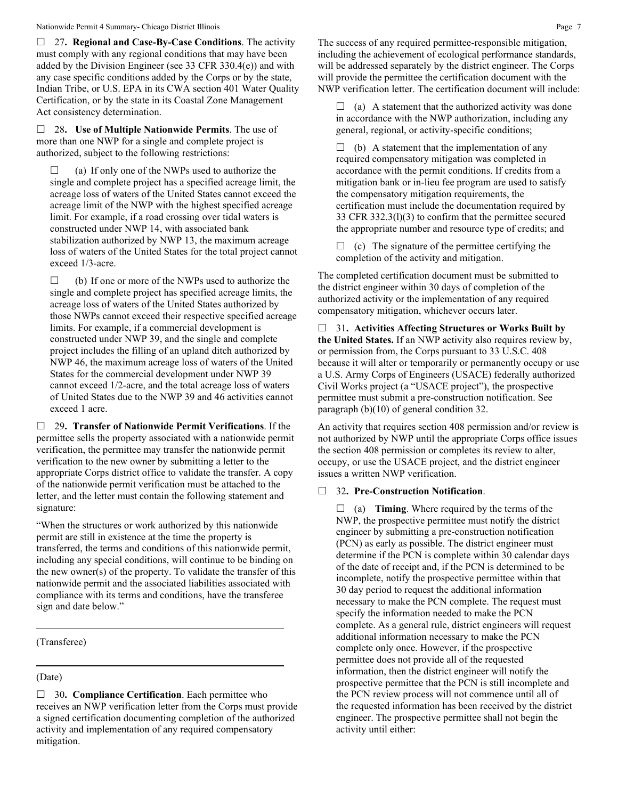#### Nationwide Permit 4 Summary- Chicago District Illinois **Page 7** Page 7

 27**. Regional and Case-By-Case Conditions**. The activity must comply with any regional conditions that may have been added by the Division Engineer (see 33 CFR 330.4(e)) and with any case specific conditions added by the Corps or by the state, Indian Tribe, or U.S. EPA in its CWA section 401 Water Quality Certification, or by the state in its Coastal Zone Management Act consistency determination.

 28**. Use of Multiple Nationwide Permits**. The use of more than one NWP for a single and complete project is authorized, subject to the following restrictions:

 $\Box$  (a) If only one of the NWPs used to authorize the single and complete project has a specified acreage limit, the acreage loss of waters of the United States cannot exceed the acreage limit of the NWP with the highest specified acreage limit. For example, if a road crossing over tidal waters is constructed under NWP 14, with associated bank stabilization authorized by NWP 13, the maximum acreage loss of waters of the United States for the total project cannot exceed 1/3-acre.

 $\Box$  (b) If one or more of the NWPs used to authorize the single and complete project has specified acreage limits, the acreage loss of waters of the United States authorized by those NWPs cannot exceed their respective specified acreage limits. For example, if a commercial development is constructed under NWP 39, and the single and complete project includes the filling of an upland ditch authorized by NWP 46, the maximum acreage loss of waters of the United States for the commercial development under NWP 39 cannot exceed 1/2-acre, and the total acreage loss of waters of United States due to the NWP 39 and 46 activities cannot exceed 1 acre.

 29**. Transfer of Nationwide Permit Verifications**. If the permittee sells the property associated with a nationwide permit verification, the permittee may transfer the nationwide permit verification to the new owner by submitting a letter to the appropriate Corps district office to validate the transfer. A copy of the nationwide permit verification must be attached to the letter, and the letter must contain the following statement and signature:

"When the structures or work authorized by this nationwide permit are still in existence at the time the property is transferred, the terms and conditions of this nationwide permit, including any special conditions, will continue to be binding on the new owner(s) of the property. To validate the transfer of this nationwide permit and the associated liabilities associated with compliance with its terms and conditions, have the transferee sign and date below."

#### (Transferee)

#### (Date)

□ 30. **Compliance Certification**. Each permittee who receives an NWP verification letter from the Corps must provide a signed certification documenting completion of the authorized activity and implementation of any required compensatory mitigation.

The success of any required permittee-responsible mitigation, including the achievement of ecological performance standards, will be addressed separately by the district engineer. The Corps will provide the permittee the certification document with the NWP verification letter. The certification document will include:

 $\Box$  (a) A statement that the authorized activity was done in accordance with the NWP authorization, including any general, regional, or activity-specific conditions;

 $\Box$  (b) A statement that the implementation of any required compensatory mitigation was completed in accordance with the permit conditions. If credits from a mitigation bank or in-lieu fee program are used to satisfy the compensatory mitigation requirements, the certification must include the documentation required by 33 CFR 332.3(l)(3) to confirm that the permittee secured the appropriate number and resource type of credits; and

 $\Box$  (c) The signature of the permittee certifying the completion of the activity and mitigation.

The completed certification document must be submitted to the district engineer within 30 days of completion of the authorized activity or the implementation of any required compensatory mitigation, whichever occurs later.

 31**. Activities Affecting Structures or Works Built by the United States.** If an NWP activity also requires review by, or permission from, the Corps pursuant to 33 U.S.C. 408 because it will alter or temporarily or permanently occupy or use a U.S. Army Corps of Engineers (USACE) federally authorized Civil Works project (a "USACE project"), the prospective permittee must submit a pre-construction notification. See paragraph (b)(10) of general condition 32.

An activity that requires section 408 permission and/or review is not authorized by NWP until the appropriate Corps office issues the section 408 permission or completes its review to alter, occupy, or use the USACE project, and the district engineer issues a written NWP verification.

#### 32**. Pre-Construction Notification**.

 $\Box$  (a) **Timing**. Where required by the terms of the NWP, the prospective permittee must notify the district engineer by submitting a pre-construction notification (PCN) as early as possible. The district engineer must determine if the PCN is complete within 30 calendar days of the date of receipt and, if the PCN is determined to be incomplete, notify the prospective permittee within that 30 day period to request the additional information necessary to make the PCN complete. The request must specify the information needed to make the PCN complete. As a general rule, district engineers will request additional information necessary to make the PCN complete only once. However, if the prospective permittee does not provide all of the requested information, then the district engineer will notify the prospective permittee that the PCN is still incomplete and the PCN review process will not commence until all of the requested information has been received by the district engineer. The prospective permittee shall not begin the activity until either: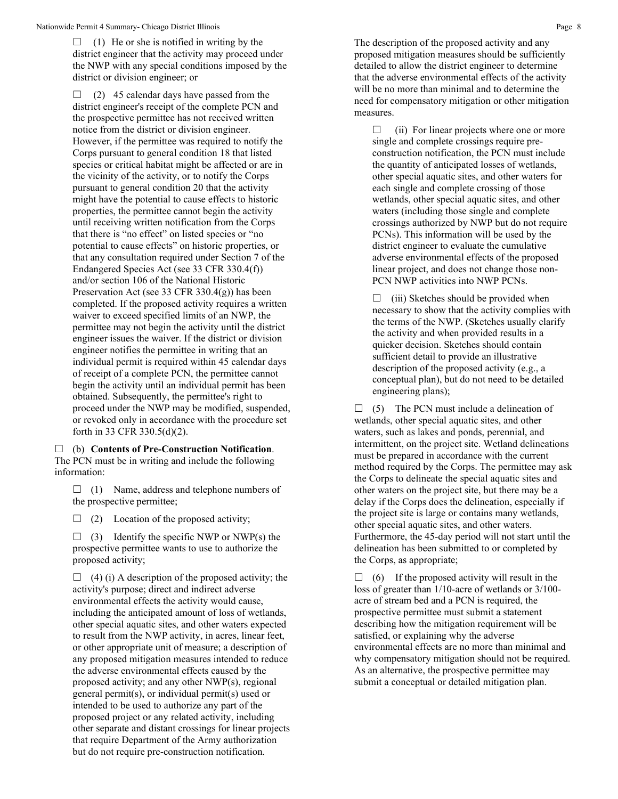$\Box$  (1) He or she is notified in writing by the district engineer that the activity may proceed under the NWP with any special conditions imposed by the district or division engineer; or

 $\Box$  (2) 45 calendar days have passed from the district engineer's receipt of the complete PCN and the prospective permittee has not received written notice from the district or division engineer. However, if the permittee was required to notify the Corps pursuant to general condition 18 that listed species or critical habitat might be affected or are in the vicinity of the activity, or to notify the Corps pursuant to general condition 20 that the activity might have the potential to cause effects to historic properties, the permittee cannot begin the activity until receiving written notification from the Corps that there is "no effect" on listed species or "no potential to cause effects" on historic properties, or that any consultation required under Section 7 of the Endangered Species Act (see 33 CFR 330.4(f)) and/or section 106 of the National Historic Preservation Act (see 33 CFR 330.4(g)) has been completed. If the proposed activity requires a written waiver to exceed specified limits of an NWP, the permittee may not begin the activity until the district engineer issues the waiver. If the district or division engineer notifies the permittee in writing that an individual permit is required within 45 calendar days of receipt of a complete PCN, the permittee cannot begin the activity until an individual permit has been obtained. Subsequently, the permittee's right to proceed under the NWP may be modified, suspended, or revoked only in accordance with the procedure set forth in 33 CFR 330.5(d)(2).

 (b) **Contents of Pre-Construction Notification**. The PCN must be in writing and include the following information:

 $\Box$  (1) Name, address and telephone numbers of the prospective permittee;

 $\Box$  (2) Location of the proposed activity;

 $\Box$  (3) Identify the specific NWP or NWP(s) the prospective permittee wants to use to authorize the proposed activity;

 $\Box$  (4) (i) A description of the proposed activity; the activity's purpose; direct and indirect adverse environmental effects the activity would cause, including the anticipated amount of loss of wetlands, other special aquatic sites, and other waters expected to result from the NWP activity, in acres, linear feet, or other appropriate unit of measure; a description of any proposed mitigation measures intended to reduce the adverse environmental effects caused by the proposed activity; and any other NWP(s), regional general permit(s), or individual permit(s) used or intended to be used to authorize any part of the proposed project or any related activity, including other separate and distant crossings for linear projects that require Department of the Army authorization but do not require pre-construction notification.

The description of the proposed activity and any proposed mitigation measures should be sufficiently detailed to allow the district engineer to determine that the adverse environmental effects of the activity will be no more than minimal and to determine the need for compensatory mitigation or other mitigation measures.

 $\Box$  (ii) For linear projects where one or more single and complete crossings require preconstruction notification, the PCN must include the quantity of anticipated losses of wetlands, other special aquatic sites, and other waters for each single and complete crossing of those wetlands, other special aquatic sites, and other waters (including those single and complete crossings authorized by NWP but do not require PCNs). This information will be used by the district engineer to evaluate the cumulative adverse environmental effects of the proposed linear project, and does not change those non-PCN NWP activities into NWP PCNs.

 $\Box$  (iii) Sketches should be provided when necessary to show that the activity complies with the terms of the NWP. (Sketches usually clarify the activity and when provided results in a quicker decision. Sketches should contain sufficient detail to provide an illustrative description of the proposed activity (e.g., a conceptual plan), but do not need to be detailed engineering plans);

 $\Box$  (5) The PCN must include a delineation of wetlands, other special aquatic sites, and other waters, such as lakes and ponds, perennial, and intermittent, on the project site. Wetland delineations must be prepared in accordance with the current method required by the Corps. The permittee may ask the Corps to delineate the special aquatic sites and other waters on the project site, but there may be a delay if the Corps does the delineation, especially if the project site is large or contains many wetlands, other special aquatic sites, and other waters. Furthermore, the 45-day period will not start until the delineation has been submitted to or completed by the Corps, as appropriate;

 $\Box$  (6) If the proposed activity will result in the loss of greater than 1/10-acre of wetlands or 3/100 acre of stream bed and a PCN is required, the prospective permittee must submit a statement describing how the mitigation requirement will be satisfied, or explaining why the adverse environmental effects are no more than minimal and why compensatory mitigation should not be required. As an alternative, the prospective permittee may submit a conceptual or detailed mitigation plan.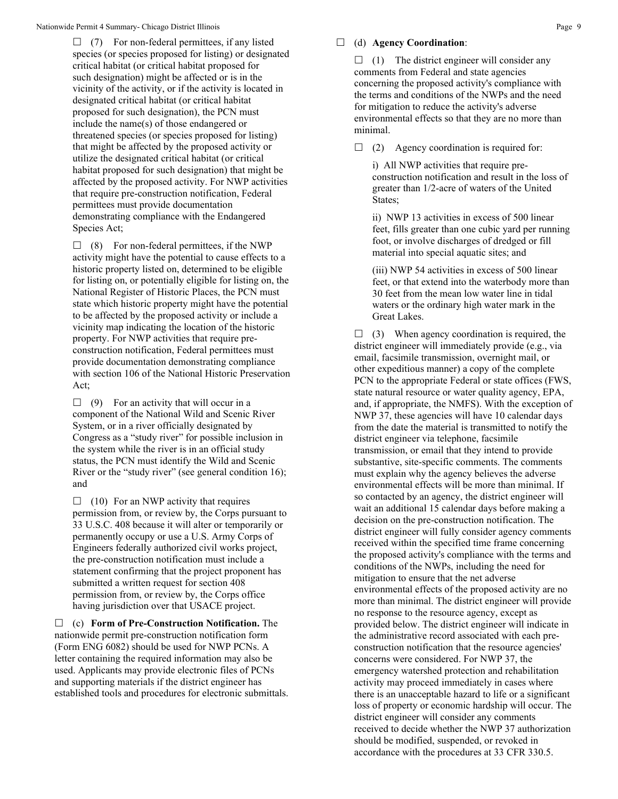$\Box$  (7) For non-federal permittees, if any listed species (or species proposed for listing) or designated critical habitat (or critical habitat proposed for such designation) might be affected or is in the vicinity of the activity, or if the activity is located in designated critical habitat (or critical habitat proposed for such designation), the PCN must include the name(s) of those endangered or threatened species (or species proposed for listing) that might be affected by the proposed activity or utilize the designated critical habitat (or critical habitat proposed for such designation) that might be affected by the proposed activity. For NWP activities that require pre-construction notification, Federal permittees must provide documentation demonstrating compliance with the Endangered Species Act;

 $\Box$  (8) For non-federal permittees, if the NWP activity might have the potential to cause effects to a historic property listed on, determined to be eligible for listing on, or potentially eligible for listing on, the National Register of Historic Places, the PCN must state which historic property might have the potential to be affected by the proposed activity or include a vicinity map indicating the location of the historic property. For NWP activities that require preconstruction notification, Federal permittees must provide documentation demonstrating compliance with section 106 of the National Historic Preservation Act;

 $\Box$  (9) For an activity that will occur in a component of the National Wild and Scenic River System, or in a river officially designated by Congress as a "study river" for possible inclusion in the system while the river is in an official study status, the PCN must identify the Wild and Scenic River or the "study river" (see general condition 16); and

 $\Box$  (10) For an NWP activity that requires permission from, or review by, the Corps pursuant to 33 U.S.C. 408 because it will alter or temporarily or permanently occupy or use a U.S. Army Corps of Engineers federally authorized civil works project, the pre-construction notification must include a statement confirming that the project proponent has submitted a written request for section 408 permission from, or review by, the Corps office having jurisdiction over that USACE project.

 (c) **Form of Pre-Construction Notification.** The nationwide permit pre-construction notification form (Form ENG 6082) should be used for NWP PCNs. A letter containing the required information may also be used. Applicants may provide electronic files of PCNs and supporting materials if the district engineer has established tools and procedures for electronic submittals.

#### (d) **Agency Coordination**:

 $\Box$  (1) The district engineer will consider any comments from Federal and state agencies concerning the proposed activity's compliance with the terms and conditions of the NWPs and the need for mitigation to reduce the activity's adverse environmental effects so that they are no more than minimal.

 $\Box$  (2) Agency coordination is required for:

i) All NWP activities that require preconstruction notification and result in the loss of greater than 1/2-acre of waters of the United States;

ii) NWP 13 activities in excess of 500 linear feet, fills greater than one cubic yard per running foot, or involve discharges of dredged or fill material into special aquatic sites; and

(iii) NWP 54 activities in excess of 500 linear feet, or that extend into the waterbody more than 30 feet from the mean low water line in tidal waters or the ordinary high water mark in the Great Lakes.

 $\Box$  (3) When agency coordination is required, the district engineer will immediately provide (e.g., via email, facsimile transmission, overnight mail, or other expeditious manner) a copy of the complete PCN to the appropriate Federal or state offices (FWS, state natural resource or water quality agency, EPA, and, if appropriate, the NMFS). With the exception of NWP 37, these agencies will have 10 calendar days from the date the material is transmitted to notify the district engineer via telephone, facsimile transmission, or email that they intend to provide substantive, site-specific comments. The comments must explain why the agency believes the adverse environmental effects will be more than minimal. If so contacted by an agency, the district engineer will wait an additional 15 calendar days before making a decision on the pre-construction notification. The district engineer will fully consider agency comments received within the specified time frame concerning the proposed activity's compliance with the terms and conditions of the NWPs, including the need for mitigation to ensure that the net adverse environmental effects of the proposed activity are no more than minimal. The district engineer will provide no response to the resource agency, except as provided below. The district engineer will indicate in the administrative record associated with each preconstruction notification that the resource agencies' concerns were considered. For NWP 37, the emergency watershed protection and rehabilitation activity may proceed immediately in cases where there is an unacceptable hazard to life or a significant loss of property or economic hardship will occur. The district engineer will consider any comments received to decide whether the NWP 37 authorization should be modified, suspended, or revoked in accordance with the procedures at 33 CFR 330.5.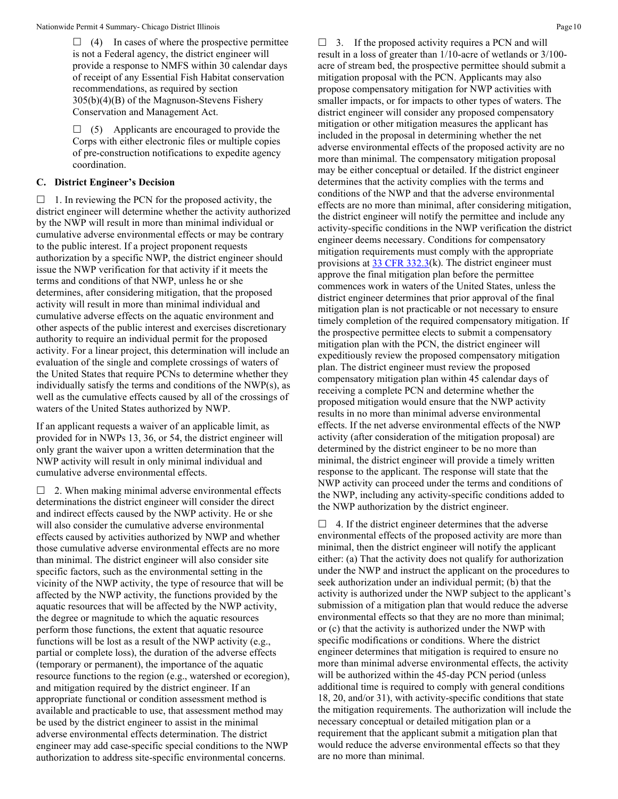$\Box$  (4) In cases of where the prospective permittee is not a Federal agency, the district engineer will provide a response to NMFS within 30 calendar days of receipt of any Essential Fish Habitat conservation recommendations, as required by section 305(b)(4)(B) of the Magnuson-Stevens Fishery Conservation and Management Act.

 $\Box$  (5) Applicants are encouraged to provide the Corps with either electronic files or multiple copies of pre-construction notifications to expedite agency coordination.

### **C. District Engineer's Decision**

 $\Box$  1. In reviewing the PCN for the proposed activity, the district engineer will determine whether the activity authorized by the NWP will result in more than minimal individual or cumulative adverse environmental effects or may be contrary to the public interest. If a project proponent requests authorization by a specific NWP, the district engineer should issue the NWP verification for that activity if it meets the terms and conditions of that NWP, unless he or she determines, after considering mitigation, that the proposed activity will result in more than minimal individual and cumulative adverse effects on the aquatic environment and other aspects of the public interest and exercises discretionary authority to require an individual permit for the proposed activity. For a linear project, this determination will include an evaluation of the single and complete crossings of waters of the United States that require PCNs to determine whether they individually satisfy the terms and conditions of the NWP(s), as well as the cumulative effects caused by all of the crossings of waters of the United States authorized by NWP.

If an applicant requests a waiver of an applicable limit, as provided for in NWPs 13, 36, or 54, the district engineer will only grant the waiver upon a written determination that the NWP activity will result in only minimal individual and cumulative adverse environmental effects.

 $\Box$  2. When making minimal adverse environmental effects determinations the district engineer will consider the direct and indirect effects caused by the NWP activity. He or she will also consider the cumulative adverse environmental effects caused by activities authorized by NWP and whether those cumulative adverse environmental effects are no more than minimal. The district engineer will also consider site specific factors, such as the environmental setting in the vicinity of the NWP activity, the type of resource that will be affected by the NWP activity, the functions provided by the aquatic resources that will be affected by the NWP activity, the degree or magnitude to which the aquatic resources perform those functions, the extent that aquatic resource functions will be lost as a result of the NWP activity (e.g., partial or complete loss), the duration of the adverse effects (temporary or permanent), the importance of the aquatic resource functions to the region (e.g., watershed or ecoregion), and mitigation required by the district engineer. If an appropriate functional or condition assessment method is available and practicable to use, that assessment method may be used by the district engineer to assist in the minimal adverse environmental effects determination. The district engineer may add case-specific special conditions to the NWP authorization to address site-specific environmental concerns.

 $\Box$  3. If the proposed activity requires a PCN and will result in a loss of greater than 1/10-acre of wetlands or 3/100 acre of stream bed, the prospective permittee should submit a mitigation proposal with the PCN. Applicants may also propose compensatory mitigation for NWP activities with smaller impacts, or for impacts to other types of waters. The district engineer will consider any proposed compensatory mitigation or other mitigation measures the applicant has included in the proposal in determining whether the net adverse environmental effects of the proposed activity are no more than minimal. The compensatory mitigation proposal may be either conceptual or detailed. If the district engineer determines that the activity complies with the terms and conditions of the NWP and that the adverse environmental effects are no more than minimal, after considering mitigation, the district engineer will notify the permittee and include any activity-specific conditions in the NWP verification the district engineer deems necessary. Conditions for compensatory mitigation requirements must comply with the appropriate provisions at [33 CFR 332.3\(](https://www.federalregister.gov/select-citation/2021/01/13/33-CFR-332.3)k). The district engineer must approve the final mitigation plan before the permittee commences work in waters of the United States, unless the district engineer determines that prior approval of the final mitigation plan is not practicable or not necessary to ensure timely completion of the required compensatory mitigation. If the prospective permittee elects to submit a compensatory mitigation plan with the PCN, the district engineer will expeditiously review the proposed compensatory mitigation plan. The district engineer must review the proposed compensatory mitigation plan within 45 calendar days of receiving a complete PCN and determine whether the proposed mitigation would ensure that the NWP activity results in no more than minimal adverse environmental effects. If the net adverse environmental effects of the NWP activity (after consideration of the mitigation proposal) are determined by the district engineer to be no more than minimal, the district engineer will provide a timely written response to the applicant. The response will state that the NWP activity can proceed under the terms and conditions of the NWP, including any activity-specific conditions added to the NWP authorization by the district engineer.

 $\Box$  4. If the district engineer determines that the adverse environmental effects of the proposed activity are more than minimal, then the district engineer will notify the applicant either: (a) That the activity does not qualify for authorization under the NWP and instruct the applicant on the procedures to seek authorization under an individual permit; (b) that the activity is authorized under the NWP subject to the applicant's submission of a mitigation plan that would reduce the adverse environmental effects so that they are no more than minimal; or (c) that the activity is authorized under the NWP with specific modifications or conditions. Where the district engineer determines that mitigation is required to ensure no more than minimal adverse environmental effects, the activity will be authorized within the 45-day PCN period (unless additional time is required to comply with general conditions 18, 20, and/or 31), with activity-specific conditions that state the mitigation requirements. The authorization will include the necessary conceptual or detailed mitigation plan or a requirement that the applicant submit a mitigation plan that would reduce the adverse environmental effects so that they are no more than minimal.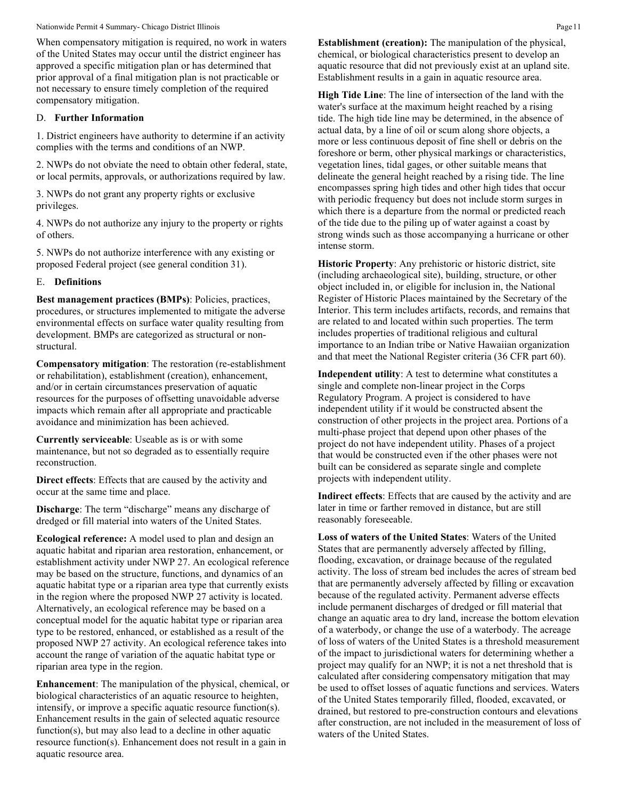Nationwide Permit 4 Summary- Chicago District Illinois **Page 11** and the state of the state of the Page 11 and the Permit 4 Summary- Chicago District Illinois **Page 11** 

When compensatory mitigation is required, no work in waters of the United States may occur until the district engineer has approved a specific mitigation plan or has determined that prior approval of a final mitigation plan is not practicable or not necessary to ensure timely completion of the required compensatory mitigation.

### D. **Further Information**

1. District engineers have authority to determine if an activity complies with the terms and conditions of an NWP.

2. NWPs do not obviate the need to obtain other federal, state, or local permits, approvals, or authorizations required by law.

3. NWPs do not grant any property rights or exclusive privileges.

4. NWPs do not authorize any injury to the property or rights of others.

5. NWPs do not authorize interference with any existing or proposed Federal project (see general condition 31).

# E. **Definitions**

**Best management practices (BMPs)**: Policies, practices, procedures, or structures implemented to mitigate the adverse environmental effects on surface water quality resulting from development. BMPs are categorized as structural or nonstructural.

**Compensatory mitigation**: The restoration (re-establishment or rehabilitation), establishment (creation), enhancement, and/or in certain circumstances preservation of aquatic resources for the purposes of offsetting unavoidable adverse impacts which remain after all appropriate and practicable avoidance and minimization has been achieved.

**Currently serviceable**: Useable as is or with some maintenance, but not so degraded as to essentially require reconstruction.

**Direct effects**: Effects that are caused by the activity and occur at the same time and place.

**Discharge**: The term "discharge" means any discharge of dredged or fill material into waters of the United States.

**Ecological reference:** A model used to plan and design an aquatic habitat and riparian area restoration, enhancement, or establishment activity under NWP 27. An ecological reference may be based on the structure, functions, and dynamics of an aquatic habitat type or a riparian area type that currently exists in the region where the proposed NWP 27 activity is located. Alternatively, an ecological reference may be based on a conceptual model for the aquatic habitat type or riparian area type to be restored, enhanced, or established as a result of the proposed NWP 27 activity. An ecological reference takes into account the range of variation of the aquatic habitat type or riparian area type in the region.

**Enhancement**: The manipulation of the physical, chemical, or biological characteristics of an aquatic resource to heighten, intensify, or improve a specific aquatic resource function(s). Enhancement results in the gain of selected aquatic resource function(s), but may also lead to a decline in other aquatic resource function(s). Enhancement does not result in a gain in aquatic resource area.

**Establishment (creation):** The manipulation of the physical, chemical, or biological characteristics present to develop an aquatic resource that did not previously exist at an upland site. Establishment results in a gain in aquatic resource area.

**High Tide Line**: The line of intersection of the land with the water's surface at the maximum height reached by a rising tide. The high tide line may be determined, in the absence of actual data, by a line of oil or scum along shore objects, a more or less continuous deposit of fine shell or debris on the foreshore or berm, other physical markings or characteristics, vegetation lines, tidal gages, or other suitable means that delineate the general height reached by a rising tide. The line encompasses spring high tides and other high tides that occur with periodic frequency but does not include storm surges in which there is a departure from the normal or predicted reach of the tide due to the piling up of water against a coast by strong winds such as those accompanying a hurricane or other intense storm.

**Historic Property**: Any prehistoric or historic district, site (including archaeological site), building, structure, or other object included in, or eligible for inclusion in, the National Register of Historic Places maintained by the Secretary of the Interior. This term includes artifacts, records, and remains that are related to and located within such properties. The term includes properties of traditional religious and cultural importance to an Indian tribe or Native Hawaiian organization and that meet the National Register criteria (36 CFR part 60).

**Independent utility**: A test to determine what constitutes a single and complete non-linear project in the Corps Regulatory Program. A project is considered to have independent utility if it would be constructed absent the construction of other projects in the project area. Portions of a multi-phase project that depend upon other phases of the project do not have independent utility. Phases of a project that would be constructed even if the other phases were not built can be considered as separate single and complete projects with independent utility.

**Indirect effects**: Effects that are caused by the activity and are later in time or farther removed in distance, but are still reasonably foreseeable.

**Loss of waters of the United States**: Waters of the United States that are permanently adversely affected by filling, flooding, excavation, or drainage because of the regulated activity. The loss of stream bed includes the acres of stream bed that are permanently adversely affected by filling or excavation because of the regulated activity. Permanent adverse effects include permanent discharges of dredged or fill material that change an aquatic area to dry land, increase the bottom elevation of a waterbody, or change the use of a waterbody. The acreage of loss of waters of the United States is a threshold measurement of the impact to jurisdictional waters for determining whether a project may qualify for an NWP; it is not a net threshold that is calculated after considering compensatory mitigation that may be used to offset losses of aquatic functions and services. Waters of the United States temporarily filled, flooded, excavated, or drained, but restored to pre-construction contours and elevations after construction, are not included in the measurement of loss of waters of the United States.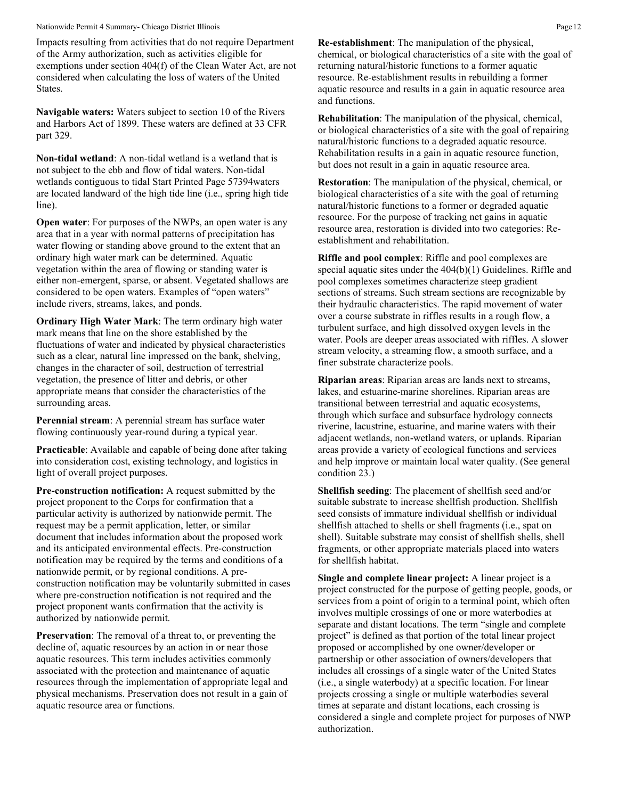#### Nationwide Permit 4 Summary- Chicago District Illinois **Page 12** Page 12

Impacts resulting from activities that do not require Department of the Army authorization, such as activities eligible for exemptions under section 404(f) of the Clean Water Act, are not considered when calculating the loss of waters of the United States.

**Navigable waters:** Waters subject to section 10 of the Rivers and Harbors Act of 1899. These waters are defined at 33 CFR part 329.

**Non-tidal wetland**: A non-tidal wetland is a wetland that is not subject to the ebb and flow of tidal waters. Non-tidal wetlands contiguous to tidal Start Printed Page 57394waters are located landward of the high tide line (i.e., spring high tide line).

**Open water**: For purposes of the NWPs, an open water is any area that in a year with normal patterns of precipitation has water flowing or standing above ground to the extent that an ordinary high water mark can be determined. Aquatic vegetation within the area of flowing or standing water is either non-emergent, sparse, or absent. Vegetated shallows are considered to be open waters. Examples of "open waters" include rivers, streams, lakes, and ponds.

**Ordinary High Water Mark**: The term ordinary high water mark means that line on the shore established by the fluctuations of water and indicated by physical characteristics such as a clear, natural line impressed on the bank, shelving, changes in the character of soil, destruction of terrestrial vegetation, the presence of litter and debris, or other appropriate means that consider the characteristics of the surrounding areas.

**Perennial stream**: A perennial stream has surface water flowing continuously year-round during a typical year.

**Practicable**: Available and capable of being done after taking into consideration cost, existing technology, and logistics in light of overall project purposes.

**Pre-construction notification:** A request submitted by the project proponent to the Corps for confirmation that a particular activity is authorized by nationwide permit. The request may be a permit application, letter, or similar document that includes information about the proposed work and its anticipated environmental effects. Pre-construction notification may be required by the terms and conditions of a nationwide permit, or by regional conditions. A preconstruction notification may be voluntarily submitted in cases where pre-construction notification is not required and the project proponent wants confirmation that the activity is authorized by nationwide permit.

**Preservation**: The removal of a threat to, or preventing the decline of, aquatic resources by an action in or near those aquatic resources. This term includes activities commonly associated with the protection and maintenance of aquatic resources through the implementation of appropriate legal and physical mechanisms. Preservation does not result in a gain of aquatic resource area or functions.

**Re-establishment**: The manipulation of the physical, chemical, or biological characteristics of a site with the goal of returning natural/historic functions to a former aquatic resource. Re-establishment results in rebuilding a former aquatic resource and results in a gain in aquatic resource area and functions.

**Rehabilitation**: The manipulation of the physical, chemical, or biological characteristics of a site with the goal of repairing natural/historic functions to a degraded aquatic resource. Rehabilitation results in a gain in aquatic resource function, but does not result in a gain in aquatic resource area.

**Restoration**: The manipulation of the physical, chemical, or biological characteristics of a site with the goal of returning natural/historic functions to a former or degraded aquatic resource. For the purpose of tracking net gains in aquatic resource area, restoration is divided into two categories: Reestablishment and rehabilitation.

**Riffle and pool complex**: Riffle and pool complexes are special aquatic sites under the 404(b)(1) Guidelines. Riffle and pool complexes sometimes characterize steep gradient sections of streams. Such stream sections are recognizable by their hydraulic characteristics. The rapid movement of water over a course substrate in riffles results in a rough flow, a turbulent surface, and high dissolved oxygen levels in the water. Pools are deeper areas associated with riffles. A slower stream velocity, a streaming flow, a smooth surface, and a finer substrate characterize pools.

**Riparian areas**: Riparian areas are lands next to streams, lakes, and estuarine-marine shorelines. Riparian areas are transitional between terrestrial and aquatic ecosystems, through which surface and subsurface hydrology connects riverine, lacustrine, estuarine, and marine waters with their adjacent wetlands, non-wetland waters, or uplands. Riparian areas provide a variety of ecological functions and services and help improve or maintain local water quality. (See general condition 23.)

**Shellfish seeding**: The placement of shellfish seed and/or suitable substrate to increase shellfish production. Shellfish seed consists of immature individual shellfish or individual shellfish attached to shells or shell fragments (i.e., spat on shell). Suitable substrate may consist of shellfish shells, shell fragments, or other appropriate materials placed into waters for shellfish habitat.

**Single and complete linear project:** A linear project is a project constructed for the purpose of getting people, goods, or services from a point of origin to a terminal point, which often involves multiple crossings of one or more waterbodies at separate and distant locations. The term "single and complete project" is defined as that portion of the total linear project proposed or accomplished by one owner/developer or partnership or other association of owners/developers that includes all crossings of a single water of the United States (i.e., a single waterbody) at a specific location. For linear projects crossing a single or multiple waterbodies several times at separate and distant locations, each crossing is considered a single and complete project for purposes of NWP authorization.